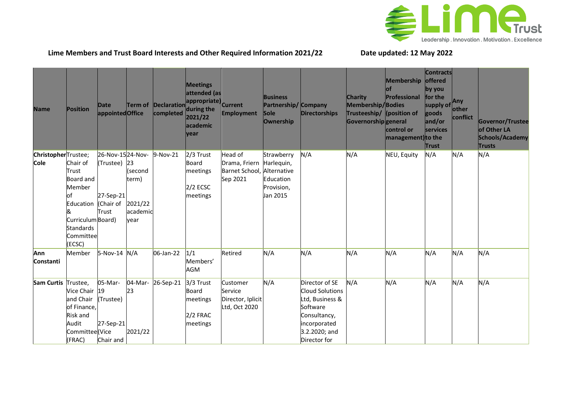

## **Lime Members and Trust Board Interests and Other Required Information 2021/22 Date updated: 12 May 2022**

| <b>Name</b>                        | <b>Position</b>                                                                                                                              | Date<br>appointedOffice                                | <b>Term of</b>                                  | completed | <b>Meetings</b><br>attended (as<br>appropriate) Current<br>Declaration during the<br>2021/22<br>academic<br>year | <b>Employment</b>                                                  | <b>Business</b><br>Partnership/ Company<br><b>Sole</b><br><b>Ownership</b> | <b>Directorships</b>                                                                                                              | <b>Charity</b><br>Membership/Bodies<br>Trusteeship/ (position of<br>Governorshipgeneral | Membership offered<br>оf<br>Professional<br>control or<br>management) to the | <b>Contracts</b><br>by you<br>for the<br>supply of<br>goods<br>and/or<br>services<br><b>Trust</b> | Any<br>other<br>conflict | Governor/Trustee<br>of Other LA<br>Schools/Academy<br><b>Trusts</b> |
|------------------------------------|----------------------------------------------------------------------------------------------------------------------------------------------|--------------------------------------------------------|-------------------------------------------------|-----------|------------------------------------------------------------------------------------------------------------------|--------------------------------------------------------------------|----------------------------------------------------------------------------|-----------------------------------------------------------------------------------------------------------------------------------|-----------------------------------------------------------------------------------------|------------------------------------------------------------------------------|---------------------------------------------------------------------------------------------------|--------------------------|---------------------------------------------------------------------|
| ChristopherTrustee;<br><b>Cole</b> | Chair of<br><b>Trust</b><br>Board and<br>Member<br>of<br>Education (Chair of<br>Curriculum Board)<br><b>Standards</b><br>Committee<br>(ECSC) | 26-Nov-1524-Nov-<br>(Trustee) 23<br>27-Sep-21<br>Trust | (second<br>term)<br>2021/22<br>academic<br>vear | 9-Nov-21  | 2/3 Trust<br>Board<br>meetings<br>$2/2$ ECSC<br>meetings                                                         | Head of<br>Drama, Friern<br>Barnet School, Alternative<br>Sep 2021 | Strawberry<br>Harlequin,<br>Education<br>Provision,<br>Jan 2015            | N/A                                                                                                                               | N/A                                                                                     | NEU, Equity                                                                  | N/A                                                                                               | N/A                      | N/A                                                                 |
| Ann<br><b>Constanti</b>            | Member                                                                                                                                       | 5-Nov-14 N/A                                           |                                                 | 06-Jan-22 | 1/1<br>Members'<br><b>AGM</b>                                                                                    | Retired                                                            | N/A                                                                        | N/A                                                                                                                               | N/A                                                                                     | N/A                                                                          | N/A                                                                                               | N/A                      | N/A                                                                 |
| <b>Sam Curtis</b>                  | Trustee,<br>Vice Chair 19<br>and Chair<br>of Finance,<br><b>Risk and</b><br>Audit<br>Committee <sup>(Vice</sup><br>(FRAC)                    | 05-Mar-<br>(Trustee)<br>27-Sep-21<br>Chair and         | 04-Mar-<br>23<br>2021/22                        | 26-Sep-21 | 3/3 Trust<br>Board<br>meetings<br>2/2 FRAC<br>meetings                                                           | Customer<br>Service<br>Director, Iplicit<br>Ltd, Oct 2020          | N/A                                                                        | Director of SE<br>Cloud Solutions<br>Ltd, Business &<br>Software<br>Consultancy,<br>incorporated<br>3.2.2020; and<br>Director for | N/A                                                                                     | N/A                                                                          | N/A                                                                                               | N/A                      | N/A                                                                 |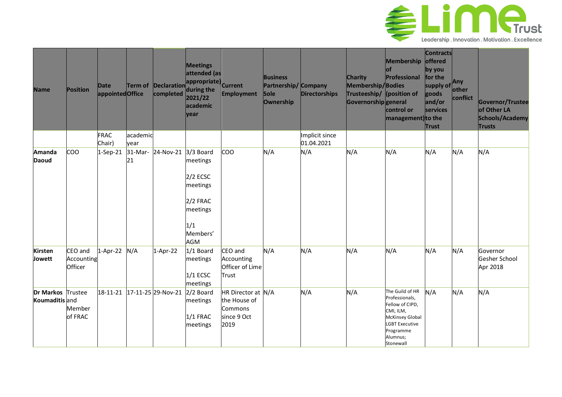

| <b>Name</b>                         | Position                         | Date<br>appointedOffice |                  | completed                             | <b>Meetings</b><br>attended (as<br>Term of Declaration appropriate) Current<br>during the<br>2021/22<br>academic<br>year | Employment                                                           | <b>Business</b><br>Partnership/ Company<br><b>Sole</b><br>Ownership | <b>Directorships</b>         | <b>Charity</b><br>Membership/Bodies<br>Trusteeship/ (position of<br>Governorshipgeneral | Membership offered<br>оf<br>Professional<br>control or<br>management) to the                                                                               | <b>Contracts</b><br>by you<br>for the<br>supply of<br>goods<br>and/or<br>services<br><b>Trust</b> | Any<br>other<br>conflict | Governor/Trustee<br>of Other LA<br>Schools/Academy<br><b>Trusts</b> |
|-------------------------------------|----------------------------------|-------------------------|------------------|---------------------------------------|--------------------------------------------------------------------------------------------------------------------------|----------------------------------------------------------------------|---------------------------------------------------------------------|------------------------------|-----------------------------------------------------------------------------------------|------------------------------------------------------------------------------------------------------------------------------------------------------------|---------------------------------------------------------------------------------------------------|--------------------------|---------------------------------------------------------------------|
|                                     |                                  | <b>FRAC</b><br>Chair)   | academic<br>vear |                                       |                                                                                                                          |                                                                      |                                                                     | Implicit since<br>01.04.2021 |                                                                                         |                                                                                                                                                            |                                                                                                   |                          |                                                                     |
| <b>Amanda</b><br><b>Daoud</b>       | <b>COO</b>                       | $1-Sep-21$              | 31-Mar-<br>21    | 24-Nov-21 3/3 Board                   | meetings<br>$2/2$ ECSC<br>meetings<br>2/2 FRAC<br>meetings<br>1/1<br>Members'<br>AGM                                     | coo                                                                  | N/A                                                                 | N/A                          | N/A                                                                                     | N/A                                                                                                                                                        | N/A                                                                                               | N/A                      | N/A                                                                 |
| <b>Kirsten</b><br>Jowett            | CEO and<br>Accounting<br>Officer | $1-Apr-22$              | N/A              | 1-Apr-22                              | 1/1 Board<br>meetings<br>$1/1$ ECSC<br>meetings                                                                          | CEO and<br>Accounting<br>Officer of Lime<br>Trust                    | N/A                                                                 | N/A                          | N/A                                                                                     | N/A                                                                                                                                                        | N/A                                                                                               | N/A                      | Governor<br>Gesher School<br>Apr 2018                               |
| Dr Markos Trustee<br>Koumaditis and | Member<br>of FRAC                |                         |                  | 18-11-21 17-11-25 29-Nov-21 2/2 Board | meetings<br>$1/1$ FRAC<br>meetings                                                                                       | HR Director at N/A<br>the House of<br>Commons<br>since 9 Oct<br>2019 |                                                                     | N/A                          | N/A                                                                                     | The Guild of HR<br>Professionals,<br>Fellow of CIPD,<br>CMI, ILM,<br><b>McKinsey Global</b><br><b>LGBT Executive</b><br>Programme<br>Alumnus;<br>Stonewall | N/A                                                                                               | N/A                      | N/A                                                                 |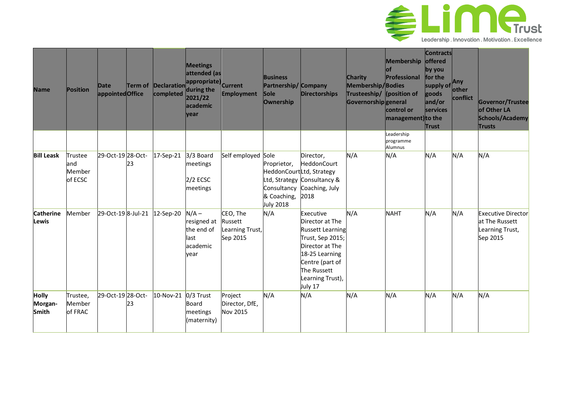

| <b>Name</b>                             | Position                             | Date<br>appointedOffice | <b>Term of</b> | <b>Declaration</b><br>completed | <b>Meetings</b><br>attended (as<br>appropriate) Current<br>during the<br>2021/22<br>academic<br>vear | <b>Employment</b>                                  | <b>Business</b><br>Partnership/<br><b>Sole</b><br>Ownership           | <b>Company</b><br><b>Directorships</b>                                                                                                                                            | <b>Charity</b><br>Membership/Bodies<br>Trusteeship/ (position of<br>Governorshipgeneral | Membership offered<br>lof<br>Professional<br>control or<br>management) to the | <b>Contracts</b><br>by you<br>for the<br>supply of<br>goods<br>and/or<br><b>Services</b><br>Trust | .Any<br>other<br>conflict | Governor/Trustee<br>of Other LA<br>Schools/Academy<br>Trusts               |
|-----------------------------------------|--------------------------------------|-------------------------|----------------|---------------------------------|------------------------------------------------------------------------------------------------------|----------------------------------------------------|-----------------------------------------------------------------------|-----------------------------------------------------------------------------------------------------------------------------------------------------------------------------------|-----------------------------------------------------------------------------------------|-------------------------------------------------------------------------------|---------------------------------------------------------------------------------------------------|---------------------------|----------------------------------------------------------------------------|
|                                         |                                      |                         |                |                                 |                                                                                                      |                                                    |                                                                       |                                                                                                                                                                                   |                                                                                         | Leadership<br>programme<br>Alumnus                                            |                                                                                                   |                           |                                                                            |
| <b>Bill Leask</b>                       | Trustee<br>land<br>Member<br>of ECSC | 29-Oct-19 28-Oct-       | 23             | 17-Sep-21                       | 3/3 Board<br>meetings<br>$2/2$ ECSC<br>meetings                                                      | Self employed                                      | Sole<br>Proprietor,<br>Consultancy<br>& Coaching,<br><b>July 2018</b> | Director,<br>HeddonCourt<br>HeddonCourtLtd, Strategy<br>Ltd, Strategy Consultancy &<br>Coaching, July<br>2018                                                                     | N/A                                                                                     | N/A                                                                           | N/A                                                                                               | N/A                       | N/A                                                                        |
| <b>Catherine</b><br>Lewis               | Member                               | 29-Oct-19 8-Jul-21      |                | 12-Sep-20                       | $N/A -$<br>resigned at<br>the end of<br>last<br>academic<br>vear                                     | CEO, The<br>Russett<br>Learning Trust,<br>Sep 2015 | N/A                                                                   | Executive<br>Director at The<br><b>Russett Learning</b><br>Trust, Sep 2015;<br>Director at The<br>18-25 Learning<br>Centre (part of<br>The Russett<br>Learning Trust),<br>July 17 | N/A                                                                                     | <b>NAHT</b>                                                                   | N/A                                                                                               | N/A                       | <b>Executive Director</b><br>at The Russett<br>Learning Trust,<br>Sep 2015 |
| <b>Holly</b><br>Morgan-<br><b>Smith</b> | Trustee,<br>Member<br>of FRAC        | 29-Oct-19 28-Oct-       | 23             | 10-Nov-21                       | 0/3 Trust<br>Board<br>meetings<br>(maternity)                                                        | Project<br>Director, DfE,<br><b>Nov 2015</b>       | N/A                                                                   | N/A                                                                                                                                                                               | N/A                                                                                     | N/A                                                                           | N/A                                                                                               | N/A                       | N/A                                                                        |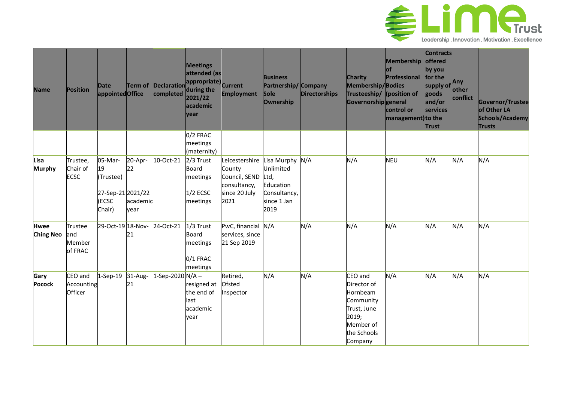

| <b>Name</b>                     | <b>Position</b>                     | Date<br>appointedOffice                                            | Term of                           | completed       | <b>Meetings</b><br>attended (as<br>$\left  \text{Declaration} \right $ appropriate) Current<br>during the<br>2021/22<br>academic<br>year | Employment                                                                         | <b>Business</b><br>Partnership/<br><b>Sole</b><br><b>Ownership</b>                   | Company<br><b>Directorships</b> | <b>Charity</b><br>Membership/Bodies<br>Trusteeship/ (position of<br>Governorshipgeneral                        | Membership offered<br>οf<br>Professional<br>control or<br>management) to the | <b>Contracts</b><br>by you<br>for the<br>supply of<br>goods<br>and/or<br>services<br><b>Trust</b> | Any<br>other<br>conflict | Governor/Trustee<br>of Other LA<br>Schools/Academy<br><b>Trusts</b> |
|---------------------------------|-------------------------------------|--------------------------------------------------------------------|-----------------------------------|-----------------|------------------------------------------------------------------------------------------------------------------------------------------|------------------------------------------------------------------------------------|--------------------------------------------------------------------------------------|---------------------------------|----------------------------------------------------------------------------------------------------------------|------------------------------------------------------------------------------|---------------------------------------------------------------------------------------------------|--------------------------|---------------------------------------------------------------------|
|                                 |                                     |                                                                    |                                   |                 | 0/2 FRAC<br>meetings<br>(maternity)                                                                                                      |                                                                                    |                                                                                      |                                 |                                                                                                                |                                                                              |                                                                                                   |                          |                                                                     |
| Lisa<br><b>Murphy</b>           | Trustee,<br>Chair of<br><b>ECSC</b> | 05-Mar-<br>19<br>(Trustee)<br>27-Sep-21 2021/22<br>(ECSC<br>Chair) | 20-Apr-<br>22<br>academic<br>year | 10-Oct-21       | 2/3 Trust<br><b>Board</b><br>meetings<br>$1/2$ ECSC<br>meetings                                                                          | Leicestershire<br>County<br>Council, SEND<br>consultancy,<br>since 20 July<br>2021 | Lisa Murphy<br>Unlimited<br>Ltd,<br>Education<br>Consultancy,<br>since 1 Jan<br>2019 | N/A                             | N/A                                                                                                            | <b>NEU</b>                                                                   | N/A                                                                                               | N/A                      | N/A                                                                 |
| <b>Hwee</b><br><b>Ching Neo</b> | Trustee<br>and<br>Member<br>of FRAC | 29-Oct-19 18-Nov-                                                  | 21                                | 24-Oct-21       | $1/3$ Trust<br>Board<br>meetings<br>0/1 FRAC<br>meetings                                                                                 | PwC, financial N/A<br>services, since<br>21 Sep 2019                               |                                                                                      | N/A                             | N/A                                                                                                            | N/A                                                                          | N/A                                                                                               | N/A                      | N/A                                                                 |
| Gary<br><b>Pocock</b>           | CEO and<br>Accounting<br>Officer    | $1-Sep-19$                                                         | 31-Aug-<br>21                     | 1-Sep-2020 N/A- | resigned at<br>the end of<br>last<br>academic<br>year                                                                                    | Retired,<br>Ofsted<br>Inspector                                                    | N/A                                                                                  | N/A                             | CEO and<br>Director of<br>Hornbeam<br>Community<br>Trust, June<br>2019;<br>Member of<br>the Schools<br>Company | N/A                                                                          | N/A                                                                                               | N/A                      | N/A                                                                 |